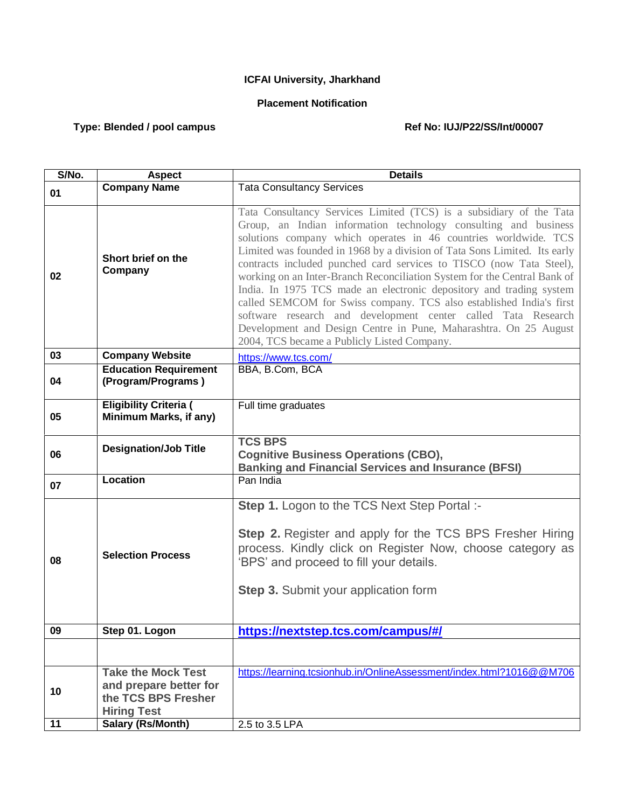## **ICFAI University, Jharkhand**

## **Placement Notification**

## Type: Blended / pool campus **Ref No: IUJ/P22/SS/Int/00007**

| S/No. | <b>Aspect</b>                                                                                    | <b>Details</b>                                                                                                                                                                                                                                                                                                                                                                                                                                                                                                                                                                                                                                                                                                                                                              |
|-------|--------------------------------------------------------------------------------------------------|-----------------------------------------------------------------------------------------------------------------------------------------------------------------------------------------------------------------------------------------------------------------------------------------------------------------------------------------------------------------------------------------------------------------------------------------------------------------------------------------------------------------------------------------------------------------------------------------------------------------------------------------------------------------------------------------------------------------------------------------------------------------------------|
| 01    | <b>Company Name</b>                                                                              | <b>Tata Consultancy Services</b>                                                                                                                                                                                                                                                                                                                                                                                                                                                                                                                                                                                                                                                                                                                                            |
| 02    | Short brief on the<br>Company                                                                    | Tata Consultancy Services Limited (TCS) is a subsidiary of the Tata<br>Group, an Indian information technology consulting and business<br>solutions company which operates in 46 countries worldwide. TCS<br>Limited was founded in 1968 by a division of Tata Sons Limited. Its early<br>contracts included punched card services to TISCO (now Tata Steel),<br>working on an Inter-Branch Reconciliation System for the Central Bank of<br>India. In 1975 TCS made an electronic depository and trading system<br>called SEMCOM for Swiss company. TCS also established India's first<br>software research and development center called Tata Research<br>Development and Design Centre in Pune, Maharashtra. On 25 August<br>2004, TCS became a Publicly Listed Company. |
| 03    | <b>Company Website</b>                                                                           | https://www.tcs.com/                                                                                                                                                                                                                                                                                                                                                                                                                                                                                                                                                                                                                                                                                                                                                        |
| 04    | <b>Education Requirement</b><br>(Program/Programs)                                               | BBA, B.Com, BCA                                                                                                                                                                                                                                                                                                                                                                                                                                                                                                                                                                                                                                                                                                                                                             |
| 05    | <b>Eligibility Criteria (</b><br>Minimum Marks, if any)                                          | Full time graduates                                                                                                                                                                                                                                                                                                                                                                                                                                                                                                                                                                                                                                                                                                                                                         |
| 06    | <b>Designation/Job Title</b>                                                                     | <b>TCS BPS</b><br><b>Cognitive Business Operations (CBO),</b><br><b>Banking and Financial Services and Insurance (BFSI)</b>                                                                                                                                                                                                                                                                                                                                                                                                                                                                                                                                                                                                                                                 |
| 07    | <b>Location</b>                                                                                  | Pan India                                                                                                                                                                                                                                                                                                                                                                                                                                                                                                                                                                                                                                                                                                                                                                   |
| 08    | <b>Selection Process</b>                                                                         | Step 1. Logon to the TCS Next Step Portal :-<br>Step 2. Register and apply for the TCS BPS Fresher Hiring<br>process. Kindly click on Register Now, choose category as<br>'BPS' and proceed to fill your details.<br><b>Step 3.</b> Submit your application form                                                                                                                                                                                                                                                                                                                                                                                                                                                                                                            |
| 09    | Step 01. Logon                                                                                   | https://nextstep.tcs.com/campus/#/                                                                                                                                                                                                                                                                                                                                                                                                                                                                                                                                                                                                                                                                                                                                          |
|       |                                                                                                  |                                                                                                                                                                                                                                                                                                                                                                                                                                                                                                                                                                                                                                                                                                                                                                             |
| 10    | <b>Take the Mock Test</b><br>and prepare better for<br>the TCS BPS Fresher<br><b>Hiring Test</b> | https://learning.tcsionhub.in/OnlineAssessment/index.html?1016@@M706                                                                                                                                                                                                                                                                                                                                                                                                                                                                                                                                                                                                                                                                                                        |
| 11    | <b>Salary (Rs/Month)</b>                                                                         | 2.5 to 3.5 LPA                                                                                                                                                                                                                                                                                                                                                                                                                                                                                                                                                                                                                                                                                                                                                              |